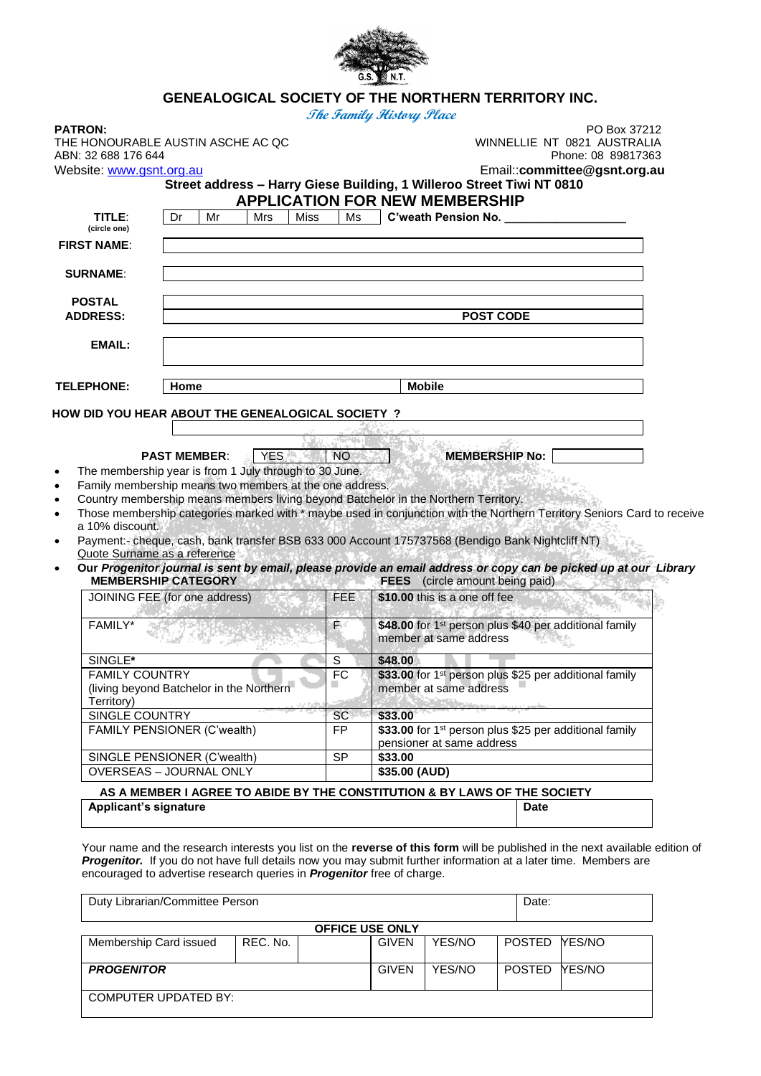

| <b>PATRON:</b><br>THE HONOURABLE AUSTIN ASCHE AC QC                           |                   | PO Box 37212<br>WINNELLIE NT 0821 AUSTRALIA                                                                                  |  |  |  |  |
|-------------------------------------------------------------------------------|-------------------|------------------------------------------------------------------------------------------------------------------------------|--|--|--|--|
| ABN: 32 688 176 644                                                           |                   | Phone: 08 89817363                                                                                                           |  |  |  |  |
| Website: www.gsnt.org.au                                                      |                   | Email::committee@gsnt.org.au                                                                                                 |  |  |  |  |
|                                                                               |                   | Street address - Harry Giese Building, 1 Willeroo Street Tiwi NT 0810                                                        |  |  |  |  |
|                                                                               |                   | <b>APPLICATION FOR NEW MEMBERSHIP</b>                                                                                        |  |  |  |  |
| TITLE:<br>Dr<br>Mr<br><b>Mrs</b>                                              | <b>Miss</b><br>Ms | C'weath Pension No.                                                                                                          |  |  |  |  |
| (circle one)                                                                  |                   |                                                                                                                              |  |  |  |  |
| <b>FIRST NAME:</b>                                                            |                   |                                                                                                                              |  |  |  |  |
| <b>SURNAME:</b>                                                               |                   |                                                                                                                              |  |  |  |  |
| <b>POSTAL</b>                                                                 |                   |                                                                                                                              |  |  |  |  |
| <b>ADDRESS:</b>                                                               |                   | <b>POST CODE</b>                                                                                                             |  |  |  |  |
| <b>EMAIL:</b>                                                                 |                   |                                                                                                                              |  |  |  |  |
| <b>TELEPHONE:</b><br>Home                                                     |                   | <b>Mobile</b>                                                                                                                |  |  |  |  |
|                                                                               |                   |                                                                                                                              |  |  |  |  |
| HOW DID YOU HEAR ABOUT THE GENEALOGICAL SOCIETY ?                             |                   |                                                                                                                              |  |  |  |  |
|                                                                               |                   |                                                                                                                              |  |  |  |  |
| <b>PAST MEMBER:</b>                                                           | YES.<br>NO.       | <b>MEMBERSHIP No:</b>                                                                                                        |  |  |  |  |
| The membership year is from 1 July through to 30 June.                        |                   |                                                                                                                              |  |  |  |  |
| Family membership means two members at the one address.                       |                   |                                                                                                                              |  |  |  |  |
|                                                                               |                   |                                                                                                                              |  |  |  |  |
|                                                                               |                   |                                                                                                                              |  |  |  |  |
|                                                                               |                   | Country membership means members living beyond Batchelor in the Northern Territory.                                          |  |  |  |  |
|                                                                               |                   | Those membership categories marked with * maybe used in conjunction with the Northern Territory Seniors Card to receive      |  |  |  |  |
| a 10% discount.                                                               |                   |                                                                                                                              |  |  |  |  |
|                                                                               |                   | Payment:- cheque, cash, bank transfer BSB 633 000 Account 175737568 (Bendigo Bank Nightcliff NT)                             |  |  |  |  |
| Quote Surname as a reference                                                  |                   | Our Progenitor journal is sent by email, please provide an email address or copy can be picked up at our Library             |  |  |  |  |
| <b>MEMBERSHIP CATEGORY</b><br>JOINING FEE (for one address)                   | FEE.              | FEES (circle amount being paid)<br>\$10.00 this is a one off fee                                                             |  |  |  |  |
| FAMILY*                                                                       | £⊡                | \$48.00 for 1 <sup>st</sup> person plus \$40 per additional family<br>member at same address                                 |  |  |  |  |
|                                                                               |                   |                                                                                                                              |  |  |  |  |
| SINGLE*                                                                       | S                 | \$48.00                                                                                                                      |  |  |  |  |
| <b>FAMILY COUNTRY</b><br>(living beyond Batchelor in the Northern             | FC                | \$33.00 for 1 <sup>st</sup> person plus \$25 per additional family<br>member at same address                                 |  |  |  |  |
| Territory)<br>SINGLE COUNTRY                                                  | SC.               | \$33.00                                                                                                                      |  |  |  |  |
| <b>FAMILY PENSIONER (C'wealth)</b>                                            | FP                | \$33.00 for 1 <sup>st</sup> person plus \$25 per additional family                                                           |  |  |  |  |
|                                                                               |                   | pensioner at same address                                                                                                    |  |  |  |  |
| SINGLE PENSIONER (C'wealth)<br><b>OVERSEAS - JOURNAL ONLY</b>                 | SP                | \$33.00                                                                                                                      |  |  |  |  |
|                                                                               |                   | \$35.00 (AUD)                                                                                                                |  |  |  |  |
|                                                                               |                   | AS A MEMBER I AGREE TO ABIDE BY THE CONSTITUTION & BY LAWS OF THE SOCIETY                                                    |  |  |  |  |
| <b>Applicant's signature</b>                                                  |                   | Date                                                                                                                         |  |  |  |  |
|                                                                               |                   |                                                                                                                              |  |  |  |  |
|                                                                               |                   |                                                                                                                              |  |  |  |  |
|                                                                               |                   | Your name and the research interests you list on the reverse of this form will be published in the next available edition of |  |  |  |  |
|                                                                               |                   | Progenitor. If you do not have full details now you may submit further information at a later time. Members are              |  |  |  |  |
| encouraged to advertise research queries in <b>Progenitor</b> free of charge. |                   |                                                                                                                              |  |  |  |  |
| Duty Librarian/Committee Person                                               |                   | Date:                                                                                                                        |  |  |  |  |

| 91119E99E911           |          |              |              |               |               |  |  |  |
|------------------------|----------|--------------|--------------|---------------|---------------|--|--|--|
| Membership Card issued | REC. No. |              | <b>GIVEN</b> | YES/NO        | POSTED NES/NO |  |  |  |
|                        |          |              |              |               |               |  |  |  |
| <b>PROGENITOR</b>      |          | <b>GIVEN</b> | YES/NO       | POSTED NES/NO |               |  |  |  |
|                        |          |              |              |               |               |  |  |  |
| COMPUTER UPDATED BY:   |          |              |              |               |               |  |  |  |
|                        |          |              |              |               |               |  |  |  |